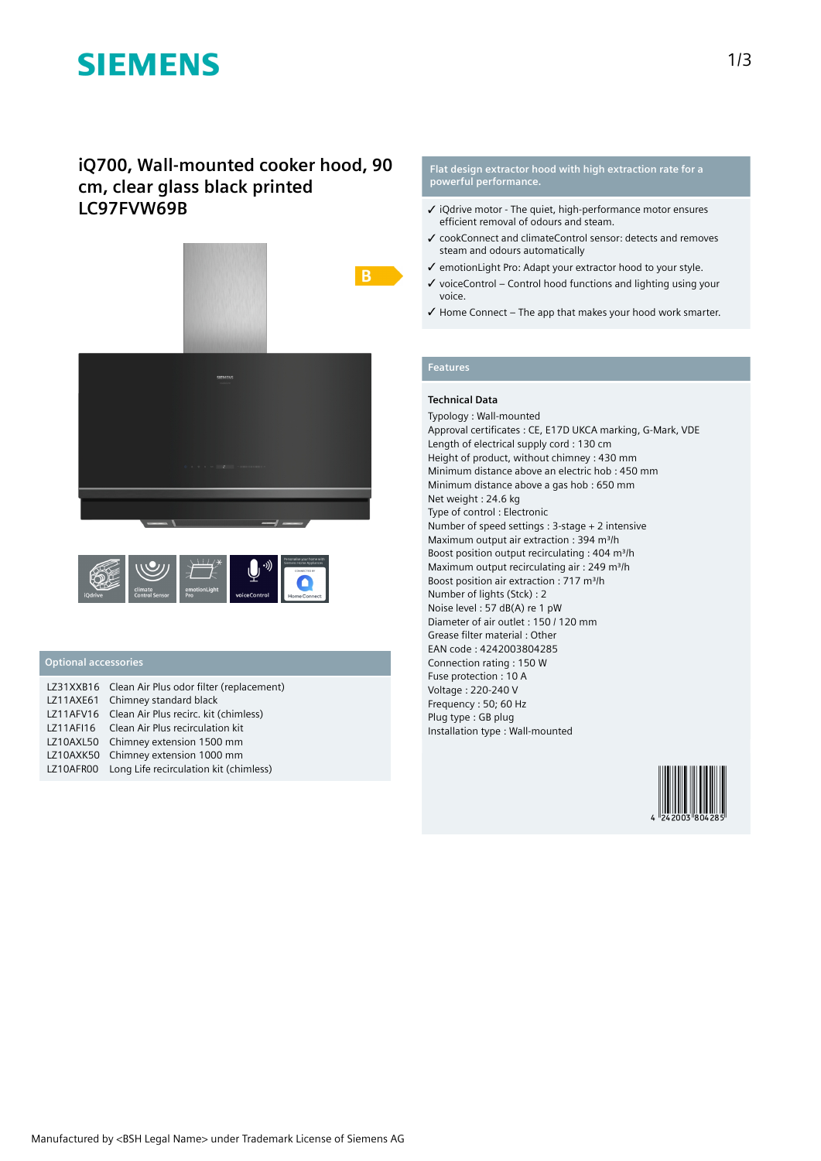# **SIEMENS**

# **iQ700, Wall-mounted cooker hood, 90 cm, clear glass black printed LC97FVW69B**





## **Optional accessories**

| LZ31XXB16 Clean Air Plus odor filter (replacement) |
|----------------------------------------------------|
| LZ11AXE61 Chimney standard black                   |
| LZ11AFV16 Clean Air Plus recirc. kit (chimless)    |
| LZ11AFI16 Clean Air Plus recirculation kit         |
| LZ10AXL50 Chimney extension 1500 mm                |
| LZ10AXK50 Chimney extension 1000 mm                |
| LZ10AFR00 Long Life recirculation kit (chimless)   |

#### **Flat design extractor hood with high extraction rate for a powerful performance.**

- ✓ iQdrive motor The quiet, high-performance motor ensures efficient removal of odours and steam.
- ✓ cookConnect and climateControl sensor: detects and removes steam and odours automatically
- ✓ emotionLight Pro: Adapt your extractor hood to your style.
- $\checkmark$  voiceControl Control hood functions and lighting using your voice.
- ✓ Home Connect The app that makes your hood work smarter.

### **Features**

## **Technical Data**

Typology : Wall-mounted Approval certificates : CE, E17D UKCA marking, G-Mark, VDE Length of electrical supply cord : 130 cm Height of product, without chimney : 430 mm Minimum distance above an electric hob : 450 mm Minimum distance above a gas hob : 650 mm Net weight : 24.6 kg Type of control : Electronic Number of speed settings : 3-stage + 2 intensive Maximum output air extraction : 394 m<sup>3</sup>/h Boost position output recirculating : 404 m<sup>3</sup>/h Maximum output recirculating air : 249 m<sup>3</sup>/h Boost position air extraction : 717 m<sup>3</sup>/h Number of lights (Stck) : 2 Noise level : 57 dB(A) re 1 pW Diameter of air outlet : 150 / 120 mm Grease filter material : Other EAN code : 4242003804285 Connection rating : 150 W Fuse protection : 10 A Voltage : 220-240 V Frequency : 50; 60 Hz Plug type : GB plug Installation type : Wall-mounted

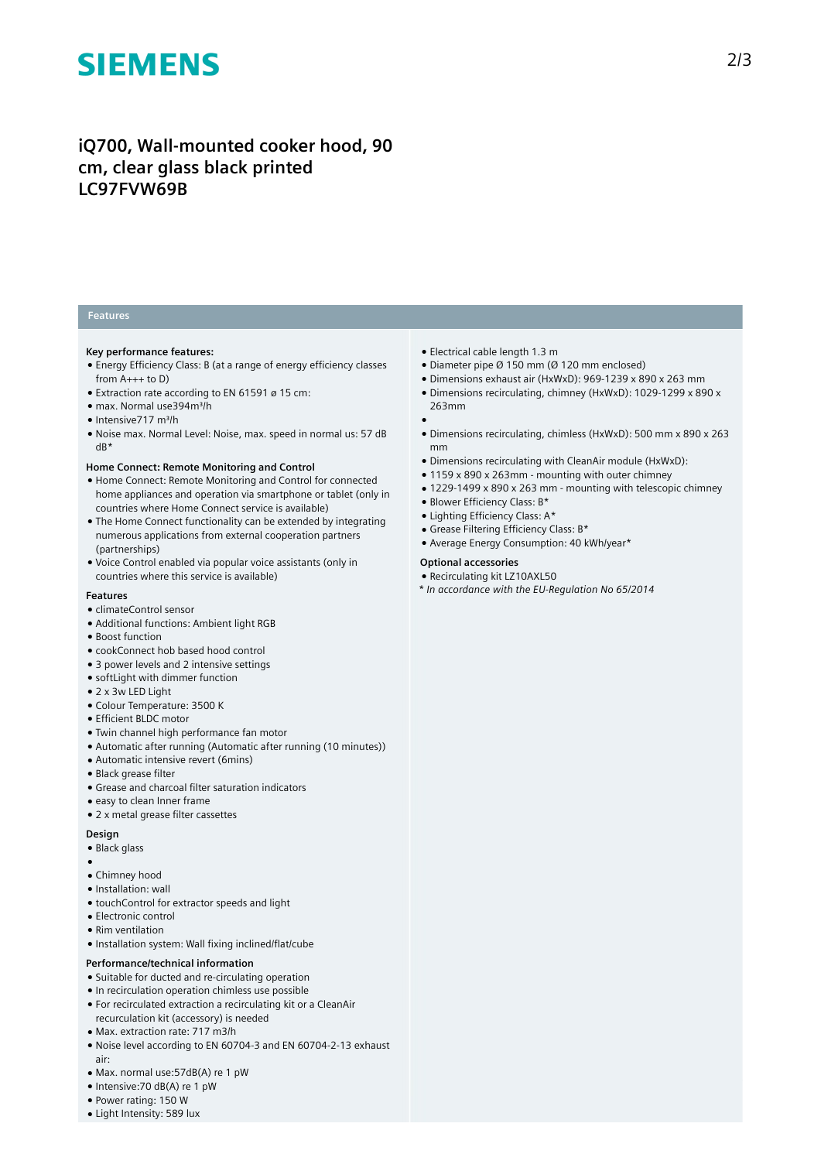# **SIEMENS**

# **iQ700, Wall-mounted cooker hood, 90 cm, clear glass black printed LC97FVW69B**

## **Features**

#### **Key performance features:**

- Energy Efficiency Class: B (at a range of energy efficiency classes from  $A_{+++}$  to D)
- Extraction rate according to EN 61591 ø 15 cm:
- max. Normal use394m³/h
- Intensive717 m³/h
- Noise max. Normal Level: Noise, max. speed in normal us: 57 dB dB\*

#### **Home Connect: Remote Monitoring and Control**

- Home Connect: Remote Monitoring and Control for connected home appliances and operation via smartphone or tablet (only in countries where Home Connect service is available)
- The Home Connect functionality can be extended by integrating numerous applications from external cooperation partners (partnerships)
- Voice Control enabled via popular voice assistants (only in countries where this service is available)

#### **Features**

- climateControl sensor
- Additional functions: Ambient light RGB
- Boost function
- cookConnect hob based hood control
- 3 power levels and 2 intensive settings
- softLight with dimmer function
- 2 x 3w LED Light
- Colour Temperature: 3500 K
- Efficient BLDC motor
- Twin channel high performance fan motor
- Automatic after running (Automatic after running (10 minutes))
- Automatic intensive revert (6mins)
- Black grease filter
- Grease and charcoal filter saturation indicators
- easy to clean Inner frame
- 2 x metal grease filter cassettes

#### **Design**

- Black glass
- • Chimney hood
- Installation: wall
- 
- touchControl for extractor speeds and light
- Electronic control
- Rim ventilation
- Installation system: Wall fixing inclined/flat/cube

### **Performance/technical information**

- Suitable for ducted and re-circulating operation
- In recirculation operation chimless use possible
- For recirculated extraction a recirculating kit or a CleanAir
- recurculation kit (accessory) is needed
- Max. extraction rate: 717 m3/h
- Noise level according to EN 60704-3 and EN 60704-2-13 exhaust air:
- Max. normal use:57dB(A) re 1 pW
- Intensive:70 dB(A) re 1 pW
- Power rating: 150 W
- Light Intensity: 589 lux
- Electrical cable length 1.3 m
- Diameter pipe Ø 150 mm (Ø 120 mm enclosed)
- Dimensions exhaust air (HxWxD): 969-1239 x 890 x 263 mm
- Dimensions recirculating, chimney (HxWxD): 1029-1299 x 890 x 263mm
- ●
- Dimensions recirculating, chimless (HxWxD): 500 mm x 890 x 263 mm
- Dimensions recirculating with CleanAir module (HxWxD):
- 1159 x 890 x 263mm mounting with outer chimney
- 1229-1499 x 890 x 263 mm mounting with telescopic chimney
- Blower Efficiency Class: B\*
- Lighting Efficiency Class: A\*
- Grease Filtering Efficiency Class: B\*
- Average Energy Consumption: 40 kWh/year\*

### **Optional accessories**

- Recirculating kit LZ10AXL50
- *\* In accordance with the EU-Regulation No 65/2014*